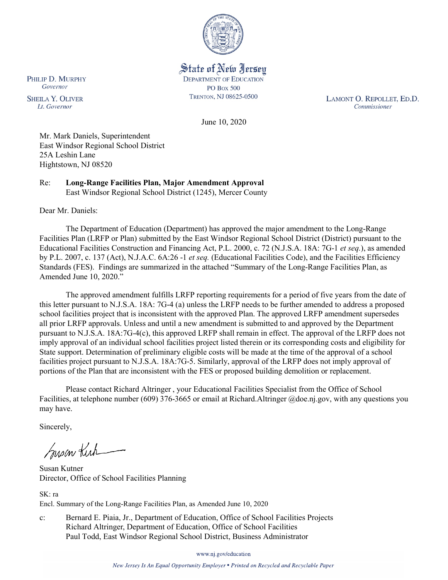

State of New Jersey **DEPARTMENT OF EDUCATION PO Box 500** TRENTON, NJ 08625-0500

LAMONT O. REPOLLET, ED.D. Commissioner

June 10, 2020

Mr. Mark Daniels, Superintendent East Windsor Regional School District 25A Leshin Lane Hightstown, NJ 08520

Re: **Long-Range Facilities Plan, Major Amendment Approval** East Windsor Regional School District (1245), Mercer County

Dear Mr. Daniels:

The Department of Education (Department) has approved the major amendment to the Long-Range Facilities Plan (LRFP or Plan) submitted by the East Windsor Regional School District (District) pursuant to the Educational Facilities Construction and Financing Act, P.L. 2000, c. 72 (N.J.S.A. 18A: 7G-1 *et seq.*), as amended by P.L. 2007, c. 137 (Act), N.J.A.C. 6A:26 -1 *et seq.* (Educational Facilities Code), and the Facilities Efficiency Standards (FES). Findings are summarized in the attached "Summary of the Long-Range Facilities Plan, as Amended June 10, 2020."

The approved amendment fulfills LRFP reporting requirements for a period of five years from the date of this letter pursuant to N.J.S.A. 18A: 7G-4 (a) unless the LRFP needs to be further amended to address a proposed school facilities project that is inconsistent with the approved Plan. The approved LRFP amendment supersedes all prior LRFP approvals. Unless and until a new amendment is submitted to and approved by the Department pursuant to N.J.S.A. 18A:7G-4(c), this approved LRFP shall remain in effect. The approval of the LRFP does not imply approval of an individual school facilities project listed therein or its corresponding costs and eligibility for State support. Determination of preliminary eligible costs will be made at the time of the approval of a school facilities project pursuant to N.J.S.A. 18A:7G-5. Similarly, approval of the LRFP does not imply approval of portions of the Plan that are inconsistent with the FES or proposed building demolition or replacement.

Please contact Richard Altringer , your Educational Facilities Specialist from the Office of School Facilities, at telephone number (609) 376-3665 or email at Richard.Altringer @doe.nj.gov, with any questions you may have.

Sincerely,

Susan Kich

Susan Kutner Director, Office of School Facilities Planning

SK: ra Encl. Summary of the Long-Range Facilities Plan, as Amended June 10, 2020

c: Bernard E. Piaia, Jr., Department of Education, Office of School Facilities Projects Richard Altringer, Department of Education, Office of School Facilities Paul Todd, East Windsor Regional School District, Business Administrator

www.nj.gov/education

New Jersey Is An Equal Opportunity Employer . Printed on Recycled and Recyclable Paper

PHILIP D. MURPHY Governor

**SHEILA Y. OLIVER** Lt. Governor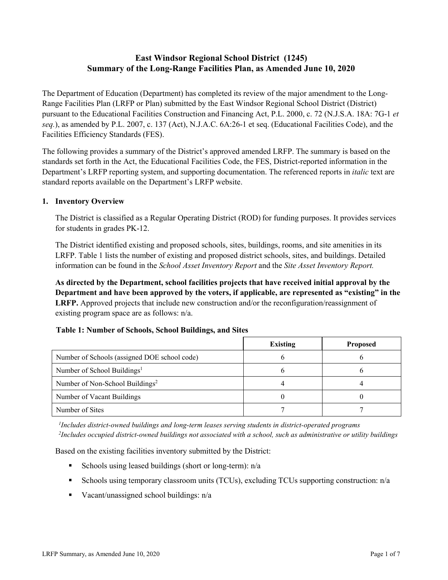# **East Windsor Regional School District (1245) Summary of the Long-Range Facilities Plan, as Amended June 10, 2020**

The Department of Education (Department) has completed its review of the major amendment to the Long-Range Facilities Plan (LRFP or Plan) submitted by the East Windsor Regional School District (District) pursuant to the Educational Facilities Construction and Financing Act, P.L. 2000, c. 72 (N.J.S.A. 18A: 7G-1 *et seq.*), as amended by P.L. 2007, c. 137 (Act), N.J.A.C. 6A:26-1 et seq. (Educational Facilities Code), and the Facilities Efficiency Standards (FES).

The following provides a summary of the District's approved amended LRFP. The summary is based on the standards set forth in the Act, the Educational Facilities Code, the FES, District-reported information in the Department's LRFP reporting system, and supporting documentation. The referenced reports in *italic* text are standard reports available on the Department's LRFP website.

## **1. Inventory Overview**

The District is classified as a Regular Operating District (ROD) for funding purposes. It provides services for students in grades PK-12.

The District identified existing and proposed schools, sites, buildings, rooms, and site amenities in its LRFP. Table 1 lists the number of existing and proposed district schools, sites, and buildings. Detailed information can be found in the *School Asset Inventory Report* and the *Site Asset Inventory Report.*

**As directed by the Department, school facilities projects that have received initial approval by the Department and have been approved by the voters, if applicable, are represented as "existing" in the LRFP.** Approved projects that include new construction and/or the reconfiguration/reassignment of existing program space are as follows: n/a.

## **Table 1: Number of Schools, School Buildings, and Sites**

|                                              | <b>Existing</b> | <b>Proposed</b> |
|----------------------------------------------|-----------------|-----------------|
| Number of Schools (assigned DOE school code) |                 |                 |
| Number of School Buildings <sup>1</sup>      |                 |                 |
| Number of Non-School Buildings <sup>2</sup>  |                 |                 |
| Number of Vacant Buildings                   |                 |                 |
| Number of Sites                              |                 |                 |

*1 Includes district-owned buildings and long-term leases serving students in district-operated programs 2 Includes occupied district-owned buildings not associated with a school, such as administrative or utility buildings*

Based on the existing facilities inventory submitted by the District:

- Schools using leased buildings (short or long-term):  $n/a$
- Schools using temporary classroom units (TCUs), excluding TCUs supporting construction: n/a
- Vacant/unassigned school buildings:  $n/a$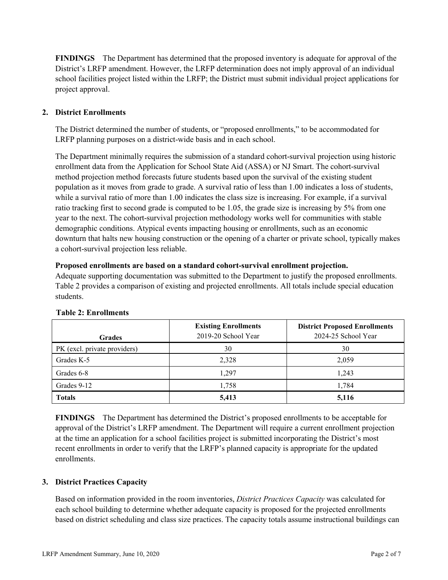**FINDINGS** The Department has determined that the proposed inventory is adequate for approval of the District's LRFP amendment. However, the LRFP determination does not imply approval of an individual school facilities project listed within the LRFP; the District must submit individual project applications for project approval.

## **2. District Enrollments**

The District determined the number of students, or "proposed enrollments," to be accommodated for LRFP planning purposes on a district-wide basis and in each school.

The Department minimally requires the submission of a standard cohort-survival projection using historic enrollment data from the Application for School State Aid (ASSA) or NJ Smart. The cohort-survival method projection method forecasts future students based upon the survival of the existing student population as it moves from grade to grade. A survival ratio of less than 1.00 indicates a loss of students, while a survival ratio of more than 1.00 indicates the class size is increasing. For example, if a survival ratio tracking first to second grade is computed to be 1.05, the grade size is increasing by 5% from one year to the next. The cohort-survival projection methodology works well for communities with stable demographic conditions. Atypical events impacting housing or enrollments, such as an economic downturn that halts new housing construction or the opening of a charter or private school, typically makes a cohort-survival projection less reliable.

### **Proposed enrollments are based on a standard cohort-survival enrollment projection.**

Adequate supporting documentation was submitted to the Department to justify the proposed enrollments. Table 2 provides a comparison of existing and projected enrollments. All totals include special education students.

| <b>Grades</b>                | <b>Existing Enrollments</b><br>2019-20 School Year | <b>District Proposed Enrollments</b><br>2024-25 School Year |
|------------------------------|----------------------------------------------------|-------------------------------------------------------------|
| PK (excl. private providers) | 30                                                 | 30                                                          |
| Grades K-5                   | 2,328                                              | 2,059                                                       |
| Grades 6-8                   | 1.297                                              | 1,243                                                       |
| Grades 9-12                  | 1,758                                              | 1,784                                                       |
| <b>Totals</b>                | 5,413                                              | 5,116                                                       |

### **Table 2: Enrollments**

**FINDINGS** The Department has determined the District's proposed enrollments to be acceptable for approval of the District's LRFP amendment. The Department will require a current enrollment projection at the time an application for a school facilities project is submitted incorporating the District's most recent enrollments in order to verify that the LRFP's planned capacity is appropriate for the updated enrollments.

### **3. District Practices Capacity**

Based on information provided in the room inventories, *District Practices Capacity* was calculated for each school building to determine whether adequate capacity is proposed for the projected enrollments based on district scheduling and class size practices. The capacity totals assume instructional buildings can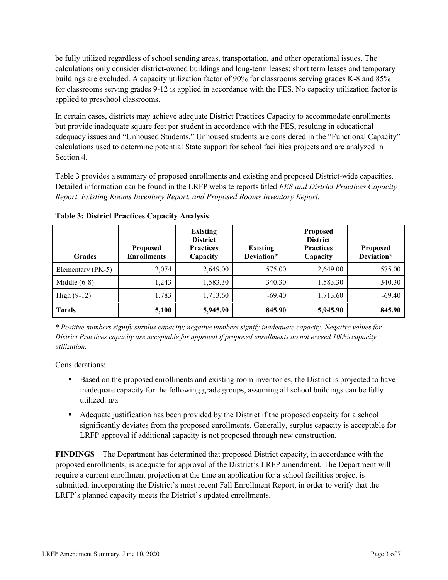be fully utilized regardless of school sending areas, transportation, and other operational issues. The calculations only consider district-owned buildings and long-term leases; short term leases and temporary buildings are excluded. A capacity utilization factor of 90% for classrooms serving grades K-8 and 85% for classrooms serving grades 9-12 is applied in accordance with the FES. No capacity utilization factor is applied to preschool classrooms.

In certain cases, districts may achieve adequate District Practices Capacity to accommodate enrollments but provide inadequate square feet per student in accordance with the FES, resulting in educational adequacy issues and "Unhoused Students." Unhoused students are considered in the "Functional Capacity" calculations used to determine potential State support for school facilities projects and are analyzed in Section 4.

Table 3 provides a summary of proposed enrollments and existing and proposed District-wide capacities. Detailed information can be found in the LRFP website reports titled *FES and District Practices Capacity Report, Existing Rooms Inventory Report, and Proposed Rooms Inventory Report.*

| <b>Grades</b>     | <b>Proposed</b><br><b>Enrollments</b> | <b>Existing</b><br><b>District</b><br><b>Practices</b><br>Capacity | <b>Existing</b><br>Deviation* | <b>Proposed</b><br><b>District</b><br><b>Practices</b><br>Capacity | <b>Proposed</b><br>Deviation* |
|-------------------|---------------------------------------|--------------------------------------------------------------------|-------------------------------|--------------------------------------------------------------------|-------------------------------|
| Elementary (PK-5) | 2,074                                 | 2,649.00                                                           | 575.00                        | 2,649.00                                                           | 575.00                        |
| Middle $(6-8)$    | 1.243                                 | 1,583.30                                                           | 340.30                        | 1,583.30                                                           | 340.30                        |
| High $(9-12)$     | 1,783                                 | 1,713.60                                                           | $-69.40$                      | 1,713.60                                                           | $-69.40$                      |
| <b>Totals</b>     | 5,100                                 | 5,945.90                                                           | 845.90                        | 5,945.90                                                           | 845.90                        |

**Table 3: District Practices Capacity Analysis**

*\* Positive numbers signify surplus capacity; negative numbers signify inadequate capacity. Negative values for District Practices capacity are acceptable for approval if proposed enrollments do not exceed 100% capacity utilization.*

Considerations:

- **Based on the proposed enrollments and existing room inventories, the District is projected to have** inadequate capacity for the following grade groups, assuming all school buildings can be fully utilized: n/a
- Adequate justification has been provided by the District if the proposed capacity for a school significantly deviates from the proposed enrollments. Generally, surplus capacity is acceptable for LRFP approval if additional capacity is not proposed through new construction.

**FINDINGS**The Department has determined that proposed District capacity, in accordance with the proposed enrollments, is adequate for approval of the District's LRFP amendment. The Department will require a current enrollment projection at the time an application for a school facilities project is submitted, incorporating the District's most recent Fall Enrollment Report, in order to verify that the LRFP's planned capacity meets the District's updated enrollments.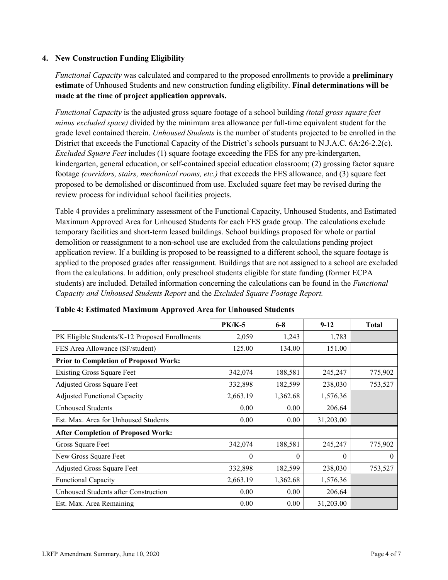### **4. New Construction Funding Eligibility**

*Functional Capacity* was calculated and compared to the proposed enrollments to provide a **preliminary estimate** of Unhoused Students and new construction funding eligibility. **Final determinations will be made at the time of project application approvals.**

*Functional Capacity* is the adjusted gross square footage of a school building *(total gross square feet minus excluded space)* divided by the minimum area allowance per full-time equivalent student for the grade level contained therein. *Unhoused Students* is the number of students projected to be enrolled in the District that exceeds the Functional Capacity of the District's schools pursuant to N.J.A.C. 6A:26-2.2(c). *Excluded Square Feet* includes (1) square footage exceeding the FES for any pre-kindergarten, kindergarten, general education, or self-contained special education classroom; (2) grossing factor square footage *(corridors, stairs, mechanical rooms, etc.)* that exceeds the FES allowance, and (3) square feet proposed to be demolished or discontinued from use. Excluded square feet may be revised during the review process for individual school facilities projects.

Table 4 provides a preliminary assessment of the Functional Capacity, Unhoused Students, and Estimated Maximum Approved Area for Unhoused Students for each FES grade group. The calculations exclude temporary facilities and short-term leased buildings. School buildings proposed for whole or partial demolition or reassignment to a non-school use are excluded from the calculations pending project application review. If a building is proposed to be reassigned to a different school, the square footage is applied to the proposed grades after reassignment. Buildings that are not assigned to a school are excluded from the calculations. In addition, only preschool students eligible for state funding (former ECPA students) are included. Detailed information concerning the calculations can be found in the *Functional Capacity and Unhoused Students Report* and the *Excluded Square Footage Report.*

|                                                | <b>PK/K-5</b> | $6 - 8$  | $9 - 12$  | <b>Total</b> |
|------------------------------------------------|---------------|----------|-----------|--------------|
| PK Eligible Students/K-12 Proposed Enrollments | 2,059         | 1,243    | 1,783     |              |
| FES Area Allowance (SF/student)                | 125.00        | 134.00   | 151.00    |              |
| <b>Prior to Completion of Proposed Work:</b>   |               |          |           |              |
| <b>Existing Gross Square Feet</b>              | 342,074       | 188,581  | 245,247   | 775,902      |
| Adjusted Gross Square Feet                     | 332,898       | 182,599  | 238,030   | 753,527      |
| <b>Adjusted Functional Capacity</b>            | 2,663.19      | 1,362.68 | 1,576.36  |              |
| Unhoused Students                              | 0.00          | 0.00     | 206.64    |              |
| Est. Max. Area for Unhoused Students           | 0.00          | 0.00     | 31,203.00 |              |
| <b>After Completion of Proposed Work:</b>      |               |          |           |              |
| Gross Square Feet                              | 342,074       | 188,581  | 245,247   | 775,902      |
| New Gross Square Feet                          | $\theta$      | 0        | $\theta$  | $\theta$     |
| Adjusted Gross Square Feet                     | 332,898       | 182,599  | 238,030   | 753,527      |
| Functional Capacity                            | 2,663.19      | 1,362.68 | 1,576.36  |              |
| Unhoused Students after Construction           | 0.00          | 0.00     | 206.64    |              |
| Est. Max. Area Remaining                       | 0.00          | 0.00     | 31,203.00 |              |

**Table 4: Estimated Maximum Approved Area for Unhoused Students**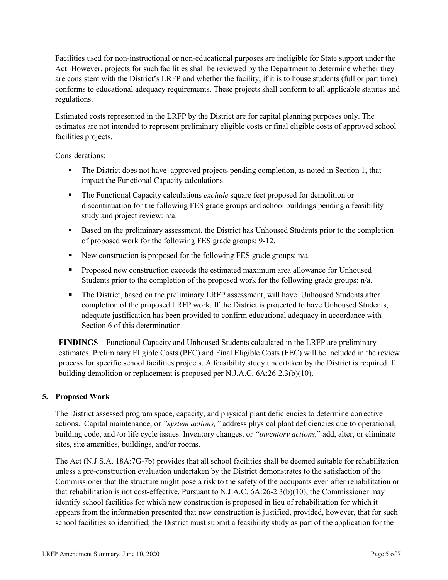Facilities used for non-instructional or non-educational purposes are ineligible for State support under the Act. However, projects for such facilities shall be reviewed by the Department to determine whether they are consistent with the District's LRFP and whether the facility, if it is to house students (full or part time) conforms to educational adequacy requirements. These projects shall conform to all applicable statutes and regulations.

Estimated costs represented in the LRFP by the District are for capital planning purposes only. The estimates are not intended to represent preliminary eligible costs or final eligible costs of approved school facilities projects.

Considerations:

- The District does not have approved projects pending completion, as noted in Section 1, that impact the Functional Capacity calculations.
- The Functional Capacity calculations *exclude* square feet proposed for demolition or discontinuation for the following FES grade groups and school buildings pending a feasibility study and project review: n/a.
- Based on the preliminary assessment, the District has Unhoused Students prior to the completion of proposed work for the following FES grade groups: 9-12.
- New construction is proposed for the following FES grade groups:  $n/a$ .
- **Proposed new construction exceeds the estimated maximum area allowance for Unhoused** Students prior to the completion of the proposed work for the following grade groups: n/a.
- The District, based on the preliminary LRFP assessment, will have Unhoused Students after completion of the proposed LRFP work. If the District is projected to have Unhoused Students, adequate justification has been provided to confirm educational adequacy in accordance with Section 6 of this determination.

**FINDINGS** Functional Capacity and Unhoused Students calculated in the LRFP are preliminary estimates. Preliminary Eligible Costs (PEC) and Final Eligible Costs (FEC) will be included in the review process for specific school facilities projects. A feasibility study undertaken by the District is required if building demolition or replacement is proposed per N.J.A.C. 6A:26-2.3(b)(10).

## **5. Proposed Work**

The District assessed program space, capacity, and physical plant deficiencies to determine corrective actions. Capital maintenance, or *"system actions,"* address physical plant deficiencies due to operational, building code, and /or life cycle issues. Inventory changes, or *"inventory actions,*" add, alter, or eliminate sites, site amenities, buildings, and/or rooms.

The Act (N.J.S.A. 18A:7G-7b) provides that all school facilities shall be deemed suitable for rehabilitation unless a pre-construction evaluation undertaken by the District demonstrates to the satisfaction of the Commissioner that the structure might pose a risk to the safety of the occupants even after rehabilitation or that rehabilitation is not cost-effective. Pursuant to N.J.A.C. 6A:26-2.3(b)(10), the Commissioner may identify school facilities for which new construction is proposed in lieu of rehabilitation for which it appears from the information presented that new construction is justified, provided, however, that for such school facilities so identified, the District must submit a feasibility study as part of the application for the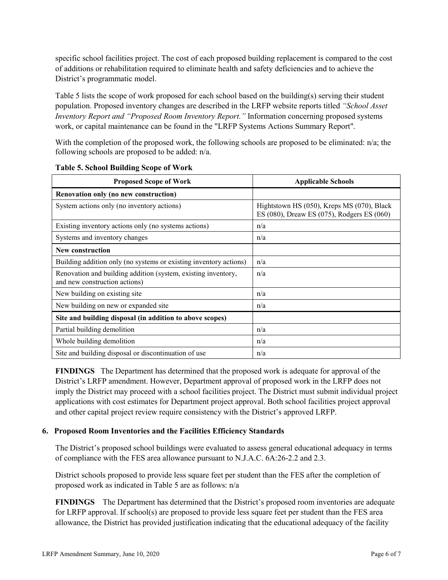specific school facilities project. The cost of each proposed building replacement is compared to the cost of additions or rehabilitation required to eliminate health and safety deficiencies and to achieve the District's programmatic model.

Table 5 lists the scope of work proposed for each school based on the building(s) serving their student population. Proposed inventory changes are described in the LRFP website reports titled *"School Asset Inventory Report and "Proposed Room Inventory Report."* Information concerning proposed systems work, or capital maintenance can be found in the "LRFP Systems Actions Summary Report".

With the completion of the proposed work, the following schools are proposed to be eliminated: n/a; the following schools are proposed to be added: n/a.

| <b>Proposed Scope of Work</b>                                                                  | <b>Applicable Schools</b>                                                                |
|------------------------------------------------------------------------------------------------|------------------------------------------------------------------------------------------|
| Renovation only (no new construction)                                                          |                                                                                          |
| System actions only (no inventory actions)                                                     | Hightstown HS (050), Kreps MS (070), Black<br>ES (080), Dreaw ES (075), Rodgers ES (060) |
| Existing inventory actions only (no systems actions)                                           | n/a                                                                                      |
| Systems and inventory changes                                                                  | n/a                                                                                      |
| <b>New construction</b>                                                                        |                                                                                          |
| Building addition only (no systems or existing inventory actions)                              | n/a                                                                                      |
| Renovation and building addition (system, existing inventory,<br>and new construction actions) | n/a                                                                                      |
| New building on existing site                                                                  | n/a                                                                                      |
| New building on new or expanded site                                                           | n/a                                                                                      |
| Site and building disposal (in addition to above scopes)                                       |                                                                                          |
| Partial building demolition                                                                    | n/a                                                                                      |
| Whole building demolition                                                                      | n/a                                                                                      |
| Site and building disposal or discontinuation of use                                           | n/a                                                                                      |

#### **Table 5. School Building Scope of Work**

**FINDINGS** The Department has determined that the proposed work is adequate for approval of the District's LRFP amendment. However, Department approval of proposed work in the LRFP does not imply the District may proceed with a school facilities project. The District must submit individual project applications with cost estimates for Department project approval. Both school facilities project approval and other capital project review require consistency with the District's approved LRFP.

### **6. Proposed Room Inventories and the Facilities Efficiency Standards**

The District's proposed school buildings were evaluated to assess general educational adequacy in terms of compliance with the FES area allowance pursuant to N.J.A.C. 6A:26-2.2 and 2.3.

District schools proposed to provide less square feet per student than the FES after the completion of proposed work as indicated in Table 5 are as follows: n/a

**FINDINGS** The Department has determined that the District's proposed room inventories are adequate for LRFP approval. If school(s) are proposed to provide less square feet per student than the FES area allowance, the District has provided justification indicating that the educational adequacy of the facility